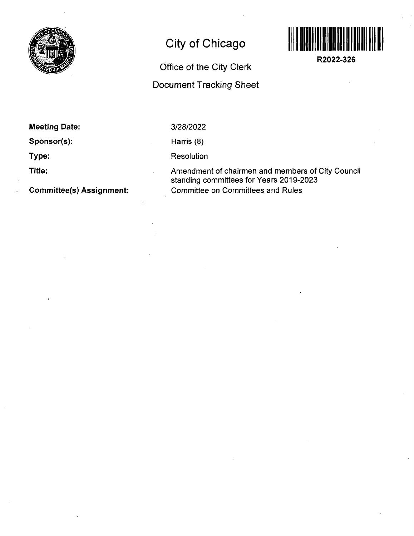

## **City of Chicago**



**R2022-326** 

# **Office of the City Clerk**

### **Document Tracking Sheet**

| <b>Meeting Date:</b> |  |
|----------------------|--|
|----------------------|--|

**Sponsor(s):** 

**Type:** 

**Title:** 

**Commjttee(s) Assignment:** 

3/28/2022

Harris (8)

Resolution

Amendment of chairmen and members of City Council standing committees for Years 2019-2023 Committee on Comrhittees and Rules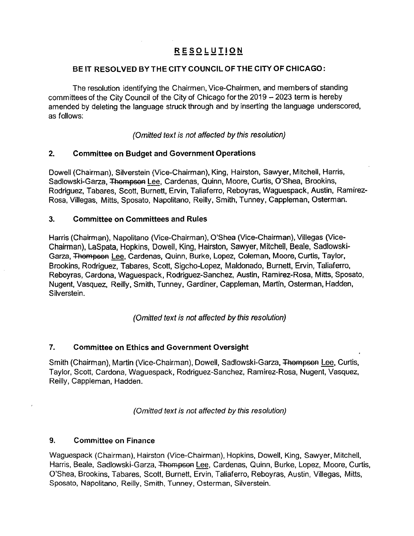#### **RESOLUTIO N**

#### BE IT RESOLVED BY THE CITY COUNCIL OF THE CITY OF CHICAGO:

The resolution identifying the Chairmen, Vice-Chairmen, and members of standing committees of the City Council of the City of Chicago for the 2019 - 2023 term is hereby amended by deleting the language struck through and by inserting the language underscored, as follows;

(Omitted text is not affected by this resolution)

#### **2. Committee on Budget and Government Operations**

Dowell (Chairman), Silverstein (Vice-Chairman), King, Hairston, Sawyer, Mitchell, Harris, Sadlowski-Garza. Thompson Lee, Cardenas, Quinn, Moore, Curtis, O'Shea, Brookins, Rodriguez, Tabares, Scott, Burnett, Ervin, Taliaferro, Reboyras, Waguespack, Austin, Ramirez-Rosa, Villegas, Mitts, Sposato, Napolitano, Reilly, Smith, Tunney, Cappleman, Osterman.

#### **3. Committee on Committees and Rules**

Harris (Chairman), Napolitano (Vice-Chairman), O'Shea (Vice-Chairman), Villegas (Vice-Chairman), LaSpata, Hopkins, Dowell, King, Hairston, Sawyer, Mitchell, Beale, Sadlowski-Garza, Thompson Lee, Cardenas, Quinn, Burke, Lopez, Coleman, Moore, Curtis, Taylor, Brookins, Rodriguez, Tabares, Scott, Sigcho-Lopez, Maldonado, Burnett, Ervin, Taliaferro, Reboyras, Cardona, Waguespack, Rodriguez-Sanchez, Austin, Ramirez-Rosa, Mitts, Sposato, Nugent, Vasquez, Reilly, Smith, Tunney, Gardiner, Cappleman, Martin, Osterman, Hadden, Silverstein.

**(Omitted text is not affected by this resolution)** 

#### **7. Committee on Ethics and Government Oversight**

Smith (Chairman), Martin (Vice-Chairman), Dowell, Sadlowski-Garza, Thompson Lee, Curtis, Taylor, Scott, Cardona, Waguespack, Rodriguez-Sanchez, Ramirez-Rosa, Nugent, Vasquez, Reilly, Cappleman, Hadden.

(Omitted text is not affected by this resolution)

#### 9. Committee on Finance

Waguespack (Chairman), Hairston (Vice-Chairman), Hopkins, Dowell, King, Sawyer, Mitchell, Harris, Beale, Sadlowski-Garza, Thompson Lee, Cardenas, Quinn, Burke, Lopez, Moore, Curtis, O'Shea, Brookins, Tabares, Scott, Burnett, Ervin, Taliaferro, Reboyras, Austin, Villegas, Mitts, Sposato, Napolitano, Reilly, Smith, Tunney, Osterman, Silverstein.